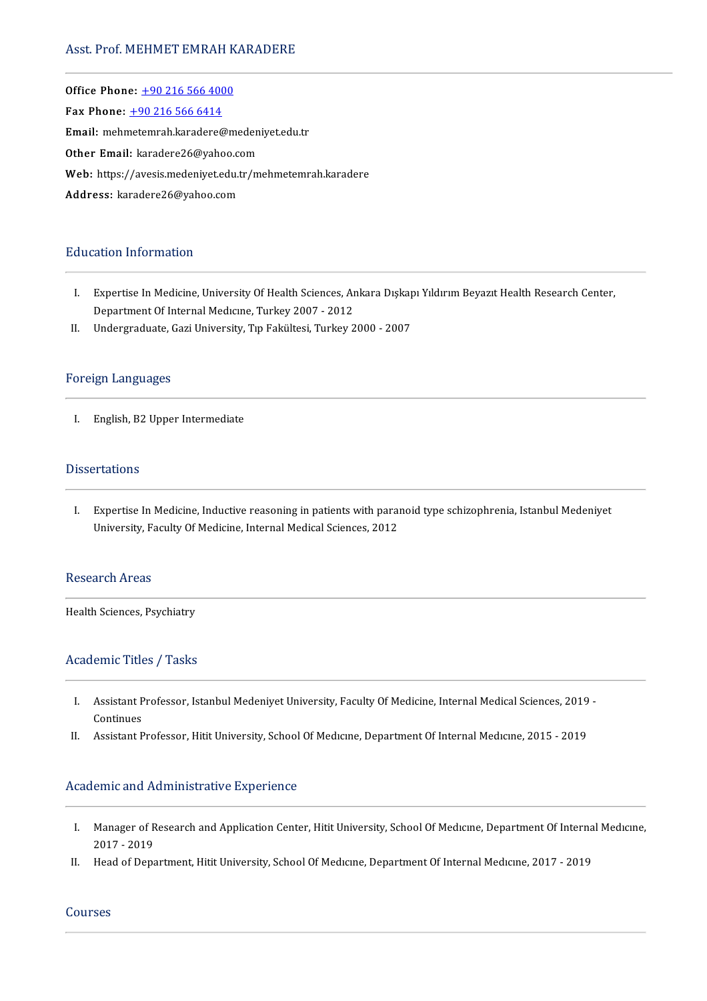# Asst. Prof. MEHMET EMRAH KARADERE

Office Phone: [+902165664000](tel:+90 216 566 4000) —<br>Office Phone: <u>+90 216 566 400</u><br>Fax Phone: <u>+90 216 566 6414</u> Office Phone: <u>+90 216 566 4000</u><br>Fax Phone: <u>+90 216 566 6414</u><br>Email: meh[metemrah.karadere@](tel:+90 216 566 6414)medeniyet.edu.tr Fax Phone: <u>+90 216 566 6414</u><br>Email: mehmetemrah.karadere@meden<br>Other Email: karadere26@yahoo.com Email: mehmetemrah.karadere@medeniyet.edu.tr<br>Other Email: karadere26@yahoo.com<br>Web: https://avesis.medeniyet.edu.tr/mehmetemrah.karadere<br>. Other Email: karadere26@yahoo.co<br>Web: https://avesis.medeniyet.edu.t<br>Address: karadere26@yahoo.com Address: karadere26@yahoo.com<br>Education Information

- ducation Information<br>I. Expertise In Medicine, University Of Health Sciences, Ankara Dışkapı Yıldırım Beyazıt Health Research Center,<br>Department Of Internal Medicine, Turkey 2007, 2012 Expertise In Medicine, University Of Health Sciences, Ar<br>Department Of Internal Medicine, Turkey 2007 - 2012<br>Undergraduate Cari University, Turkelithesi, Turkey 2 I. Expertise In Medicine, University Of Health Sciences, Ankara Dışkap<br>Department Of Internal Medicine, Turkey 2007 - 2012<br>II. Undergraduate, Gazi University, Tıp Fakültesi, Turkey 2000 - 2007
- II. Undergraduate, Gazi University, Tıp Fakültesi, Turkey 2000 2007<br>Foreign Languages

I. English, B2 Upper Intermediate

### Dissertations

I. Expertise In Medicine, Inductive reasoning in patients with paranoid type schizophrenia, Istanbul Medeniyet University, Faculty Of Medicine, Internal Medical Sciences, 2012

# Research Areas

Health Sciences, Psychiatry

# Academic Titles / Tasks

- I. AssistantProfessor, IstanbulMedeniyetUniversity,FacultyOfMedicine, InternalMedicalSciences,2019- Assistant P<br>Continues<br>Assistant P I. Assistant Professor, Istanbul Medeniyet University, Faculty Of Medicine, Internal Medical Sciences, 2019<br>Continues<br>II. Assistant Professor, Hitit University, School Of Medicine, Department Of Internal Medicine, 2015 - 2
- II. Assistant Professor, Hitit University, School Of Medicine, Department Of Internal Medicine, 2015 2019<br>Academic and Administrative Experience

- I. Manager ofResearchandApplicationCenter,HititUniversity,SchoolOfMedıcıne,DepartmentOf InternalMedıcıne, Manager of R<br>2017 - 2019<br>Heed of Dens I. Manager of Research and Application Center, Hitit University, School Of Medıcıne, Department Of Interna<br>2017 - 2019<br>II. Head of Department, Hitit University, School Of Medicine, Department Of Internal Medicine, 2017 - 2
- II. Head of Department, Hitit University, School Of Medicine, Department Of Internal Medicine, 2017 2019<br>Courses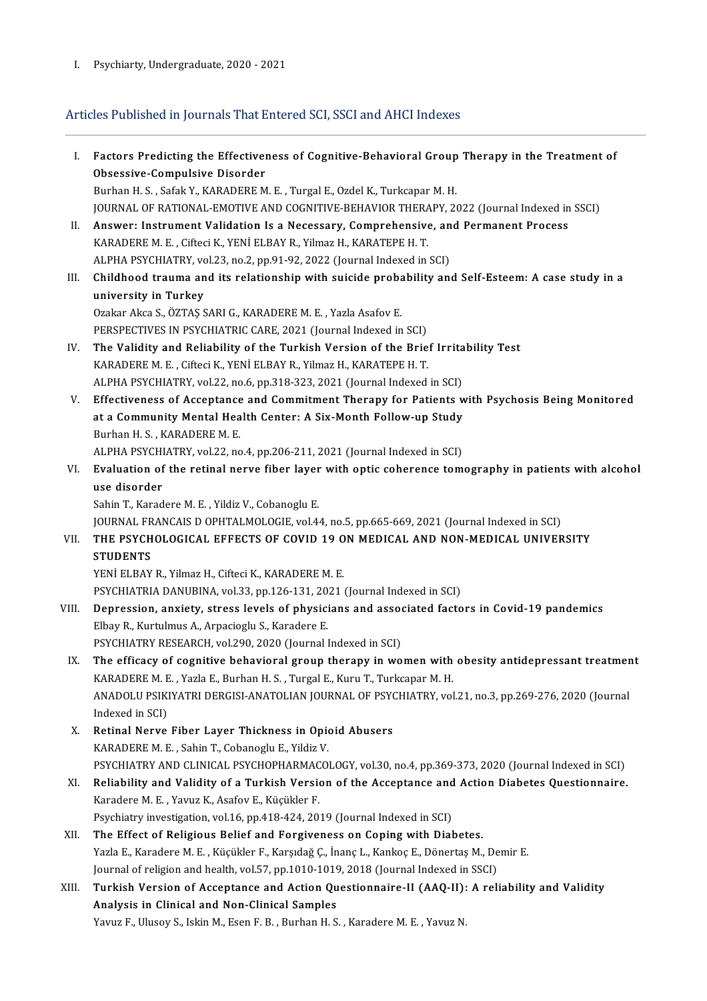# 1. Psychiarty, Undergraduate, 2020 - 2021<br>Articles Published in Journals That Entered SCI, SSCI and AHCI Indexes

| L.    | Factors Predicting the Effectiveness of Cognitive-Behavioral Group Therapy in the Treatment of       |
|-------|------------------------------------------------------------------------------------------------------|
|       | Obsessive-Compulsive Disorder                                                                        |
|       | Burhan H. S., Safak Y., KARADERE M. E., Turgal E., Ozdel K., Turkcapar M. H.                         |
|       | JOURNAL OF RATIONAL-EMOTIVE AND COGNITIVE-BEHAVIOR THERAPY, 2022 (Journal Indexed in SSCI)           |
| Н.    | Answer: Instrument Validation Is a Necessary, Comprehensive, and Permanent Process                   |
|       | KARADERE M. E., Cifteci K., YENİ ELBAY R., Yilmaz H., KARATEPE H. T.                                 |
|       | ALPHA PSYCHIATRY, vol.23, no.2, pp.91-92, 2022 (Journal Indexed in SCI)                              |
| III.  | Childhood trauma and its relationship with suicide probability and Self-Esteem: A case study in a    |
|       | university in Turkey                                                                                 |
|       | Ozakar Akca S., ÖZTAŞ SARI G., KARADERE M. E., Yazla Asafov E.                                       |
|       | PERSPECTIVES IN PSYCHIATRIC CARE, 2021 (Journal Indexed in SCI)                                      |
| IV.   | The Validity and Reliability of the Turkish Version of the Brief Irritability Test                   |
|       | KARADERE M. E., Cifteci K., YENİ ELBAY R., Yilmaz H., KARATEPE H. T.                                 |
|       | ALPHA PSYCHIATRY, vol.22, no.6, pp.318-323, 2021 (Journal Indexed in SCI)                            |
| V.    | Effectiveness of Acceptance and Commitment Therapy for Patients with Psychosis Being Monitored       |
|       | at a Community Mental Health Center: A Six-Month Follow-up Study                                     |
|       | Burhan H. S., KARADERE M. E.                                                                         |
|       | ALPHA PSYCHIATRY, vol.22, no.4, pp.206-211, 2021 (Journal Indexed in SCI)                            |
| VI.   | Evaluation of the retinal nerve fiber layer with optic coherence tomography in patients with alcohol |
|       | use disorder                                                                                         |
|       | Sahin T., Karadere M. E., Yildiz V., Cobanoglu E.                                                    |
|       | JOURNAL FRANCAIS D OPHTALMOLOGIE, vol.44, no.5, pp.665-669, 2021 (Journal Indexed in SCI)            |
| VII.  | THE PSYCHOLOGICAL EFFECTS OF COVID 19 ON MEDICAL AND NON-MEDICAL UNIVERSITY                          |
|       | <b>STUDENTS</b>                                                                                      |
|       | YENİ ELBAY R., Yilmaz H., Cifteci K., KARADERE M. E.                                                 |
|       | PSYCHIATRIA DANUBINA, vol.33, pp.126-131, 2021 (Journal Indexed in SCI)                              |
| VIII. | Depression, anxiety, stress levels of physicians and associated factors in Covid-19 pandemics        |
|       | Elbay R., Kurtulmus A., Arpacioglu S., Karadere E.                                                   |
|       | PSYCHIATRY RESEARCH, vol.290, 2020 (Journal Indexed in SCI)                                          |
| IX.   | The efficacy of cognitive behavioral group therapy in women with obesity antidepressant treatment    |
|       | KARADERE M. E., Yazla E., Burhan H. S., Turgal E., Kuru T., Turkcapar M. H.                          |
|       | ANADOLU PSIKIYATRI DERGISI-ANATOLIAN JOURNAL OF PSYCHIATRY, vol.21, no.3, pp.269-276, 2020 (Journal  |
|       | Indexed in SCI)                                                                                      |
| X.    | Retinal Nerve Fiber Layer Thickness in Opioid Abusers                                                |
|       | KARADERE M. E., Sahin T., Cobanoglu E., Yildiz V.                                                    |
|       | PSYCHIATRY AND CLINICAL PSYCHOPHARMACOLOGY, vol.30, no.4, pp.369-373, 2020 (Journal Indexed in SCI)  |
| XI.   | Reliability and Validity of a Turkish Version of the Acceptance and Action Diabetes Questionnaire.   |
|       | Karadere M. E., Yavuz K., Asafov E., Küçükler F.                                                     |
|       | Psychiatry investigation, vol.16, pp.418-424, 2019 (Journal Indexed in SCI)                          |
| XII.  | The Effect of Religious Belief and Forgiveness on Coping with Diabetes.                              |
|       | Yazla E., Karadere M. E., Küçükler F., Karşıdağ Ç., İnanç L., Kankoç E., Dönertaş M., Demir E.       |
|       | Journal of religion and health, vol.57, pp.1010-1019, 2018 (Journal Indexed in SSCI)                 |
| XIII. | Turkish Version of Acceptance and Action Questionnaire-II (AAQ-II): A reliability and Validity       |
|       | Analysis in Clinical and Non-Clinical Samples                                                        |
|       | Yavuz F., Ulusoy S., Iskin M., Esen F. B., Burhan H. S., Karadere M. E., Yavuz N.                    |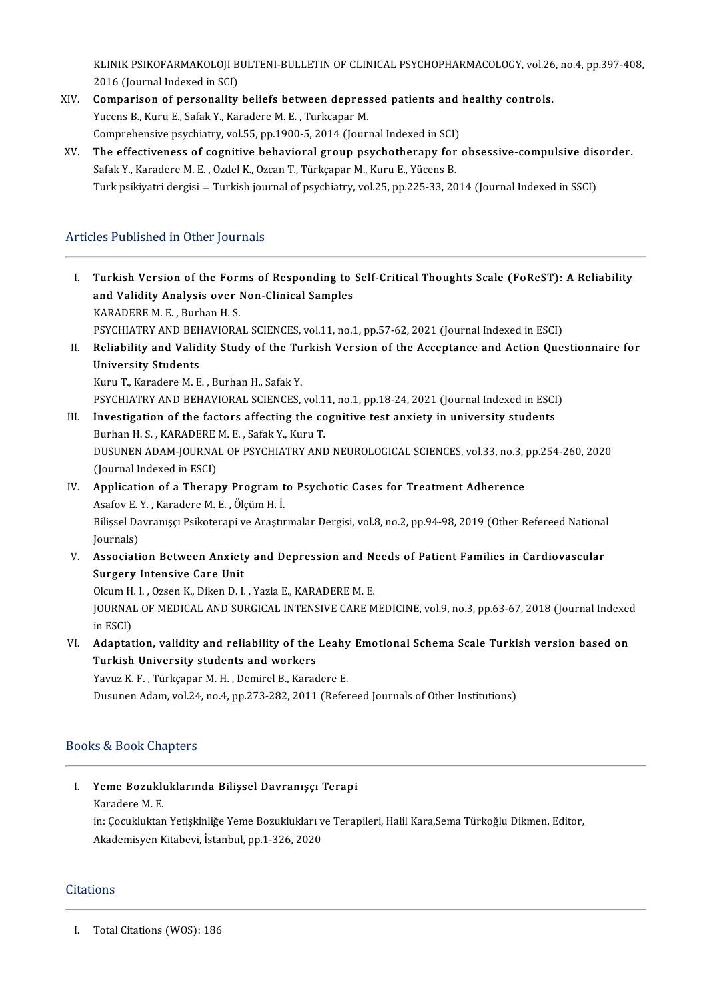KLINIK PSIKOFARMAKOLOJI BULTENI-BULLETIN OF CLINICAL PSYCHOPHARMACOLOGY, vol.26, no.4, pp.397-408,<br>2016 (Jaurnal Indoved in SCI) KLINIK PSIKOFARMAKOLOJI B<br>2016 (Journal Indexed in SCI)<br>Comparison of personality KLINIK PSIKOFARMAKOLOJI BULTENI-BULLETIN OF CLINICAL PSYCHOPHARMACOLOGY, vol.26<br>2016 (Journal Indexed in SCI)<br>XIV. Comparison of personality beliefs between depressed patients and healthy controls.<br>XIV. Comparison of perso

- 2016 (Journal Indexed in SCI)<br>XIV. Comparison of personality beliefs between depressed patients and healthy controls.<br>Yucens B., Kuru E., Safak Y., Karadere M. E. , Turkcapar M. Comparison of personality beliefs between depressed patients and<br>Yucens B., Kuru E., Safak Y., Karadere M. E. , Turkcapar M.<br>Comprehensive psychiatry, vol.55, pp.1900-5, 2014 (Journal Indexed in SCI)<br>The effectiveness of s Yucens B., Kuru E., Safak Y., Karadere M. E. , Turkcapar M.<br>Comprehensive psychiatry, vol.55, pp.1900-5, 2014 (Journal Indexed in SCI)<br>XV. The effectiveness of cognitive behavioral group psychotherapy for obsessive-compuls
- Comprehensive psychiatry, vol.55, pp.1900-5, 2014 (Journal Indexed in SCI)<br>The effectiveness of cognitive behavioral group psychotherapy for<br>Safak Y., Karadere M. E. , Ozdel K., Ozcan T., Türkçapar M., Kuru E., Yücens B.<br>T The effectiveness of cognitive behavioral group psychotherapy for obsessive-compulsive dis<br>Safak Y., Karadere M. E. , Ozdel K., Ozcan T., Türkçapar M., Kuru E., Yücens B.<br>Turk psikiyatri dergisi = Turkish journal of psychi Turk psikiyatri dergisi = Turkish journal of psychiatry, vol.25, pp.225-33, 2014 (Journal Indexed in SSCI)<br>Articles Published in Other Journals

rticles Published in Other Journals<br>I. Turkish Version of the Forms of Responding to Self-Critical Thoughts Scale (FoReST): A Reliability<br>2nd Validity Analysis aver Nap Clinical Samples Turkish Version of the Forms of Responding to<br>and Validity Analysis over Non-Clinical Samples<br>KARADERE M.E. Burban H.S. Turkish Version of the Form<br>and Validity Analysis over I<br>KARADERE M. E. , Burhan H. S.<br>PSYCHIATPY AND PEHAVIOPA and Validity Analysis over Non-Clinical Samples<br>KARADERE M. E. , Burhan H. S.<br>PSYCHIATRY AND BEHAVIORAL SCIENCES, vol.11, no.1, pp.57-62, 2021 (Journal Indexed in ESCI)<br>Poliability and Validity Study of the Turkich Version I . RARADERE M. E. , Burhan H. S.<br>PSYCHIATRY AND BEHAVIORAL SCIENCES, vol.11, no.1, pp.57-62, 2021 (Journal Indexed in ESCI)<br>II. Reliability and Validity Study of the Turkish Version of the Acceptance and Action Questionna PSYCHIATRY AND BEH<br>Reliability and Valid<br>University Students<br>Kuru T. Karadare M. E Kuru T., Karadere M. E., Burhan H., Safak Y. PSYCHIATRY AND BEHAVIORAL SCIENCES, vol.11, no.1, pp.18-24, 2021 (Journal Indexed in ESCI) III. Investigation of the factors affecting the cognitive test anxiety in university students PSYCHIATRY AND BEHAVIORAL SCIENCES, vol.1<br>Investigation of the factors affecting the co<br>Burhan H. S. , KARADERE M. E. , Safak Y., Kuru T.<br>DUSUNEN ADAM JOURNAL OF RSYCHIATRY AND DUSUNEN ADAM-JOURNAL OF PSYCHIATRY AND NEUROLOGICAL SCIENCES, vol.33, no.3, pp.254-260, 2020<br>(Journal Indexed in ESCI) Burhan H. S. , KARADERE<br>DUSUNEN ADAM-JOURNA<br>(Journal Indexed in ESCI)<br>Annligation of a Thoron DUSUNEN ADAM-JOURNAL OF PSYCHIATRY AND NEUROLOGICAL SCIENCES, vol.33, no.3, 1<br>(Journal Indexed in ESCI)<br>IV. Application of a Therapy Program to Psychotic Cases for Treatment Adherence<br>Agafou E.V. Kanadara M.E. Ölgüm H.J. (Journal Indexed in ESCI)<br>**Application of a Therapy Program t**<br>Asafov E. Y. , Karadere M. E. , Ölçüm H. İ.<br>Bilissel Douranucu Belisterani ve Arastr Application of a Therapy Program to Psychotic Cases for Treatment Adherence<br>Asafov E. Y. , Karadere M. E. , Ölçüm H. İ.<br>Bilişsel Davranışçı Psikoterapi ve Araştırmalar Dergisi, vol.8, no.2, pp.94-98, 2019 (Other Refereed N Asafov E.<br>Bilişsel Da<br>Journals)<br>Assosiati Bilișsel Davranışçı Psikoterapi ve Araştırmalar Dergisi, vol.8, no.2, pp.94-98, 2019 (Other Refereed National<br>Journals)<br>V. Association Between Anxiety and Depression and Needs of Patient Families in Cardiovascular<br>Sungery Journals)<br>Association Between Anxiety<br>Surgery Intensive Care Unit<br>Olaum H. L. Ozsen K. Diken D. L Association Between Anxiety and Depression and N<br>Surgery Intensive Care Unit<br>Olcum H. I. , Ozsen K., Diken D. I. , Yazla E., KARADERE M. E.<br>JOUPMAL OF MEDICAL AND SURCICAL INTENSIVE CARE M Surgery Intensive Care Unit<br>Olcum H. I. , Ozsen K., Diken D. I. , Yazla E., KARADERE M. E.<br>JOURNAL OF MEDICAL AND SURGICAL INTENSIVE CARE MEDICINE, vol.9, no.3, pp.63-67, 2018 (Journal Indexed<br>in ESCD Olcum H<br>JOURNAI<br>in ESCI)<br>Adantat JOURNAL OF MEDICAL AND SURGICAL INTENSIVE CARE MEDICINE, vol.9, no.3, pp.63-67, 2018 (Journal Indexed<br>in ESCI)<br>VI. Adaptation, validity and reliability of the Leahy Emotional Schema Scale Turkish version based on<br>Turkish U in ESCI)<br>VI. Adaptation, validity and reliability of the Leahy Emotional Schema Scale Turkish version based on<br>Turkish University students and workers Yavuz K.F., Türkçapar M.H., Demirel B., Karadere E. Dusunen Adam, vol.24, no.4, pp.273-282, 2011 (Refereed Journals of Other Institutions)

# Books&BookChapters

I. Yeme Bozukluklarında Bilişsel Davranışçı Terapi **Marader Bozuklu**<br>Karadere M. E.<br>in: Cosuklukter Yeme Bozukluklarında Bilişsel Davranışçı Terapi<br>Karadere M. E.<br>in: Çocukluktan Yetişkinliğe Yeme Bozuklukları ve Terapileri, Halil Kara,Sema Türkoğlu Dikmen, Editor,<br>Akademisyon Kitabevi, İstanbul, pp.1.326.2020 Karadere M. E.<br>in: Çocukluktan Yetişkinliğe Yeme Bozuklukları v<br>Akademisyen Kitabevi, İstanbul, pp.1-326, 2020 Akademisyen Kitabevi, İstanbul, pp.1-326, 2020<br>Citations

I. Total Citations (WOS): 186